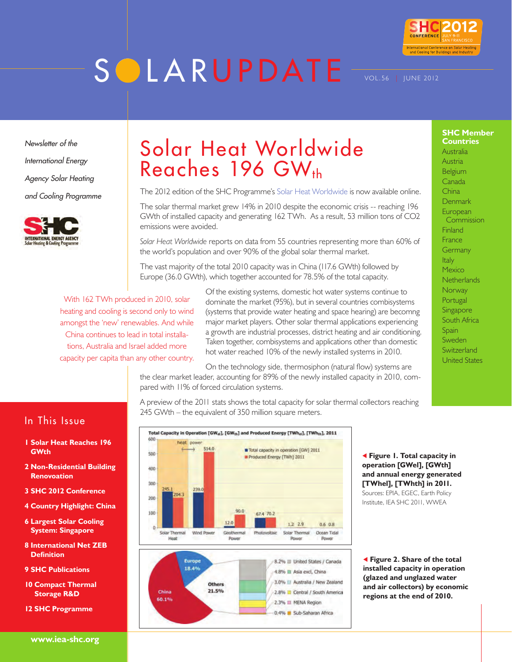# **SOLARUPDATE**



**SHC Member Countries** Australia Austria Belgium Canada **China** Denmark European **Commission Finland** France **Germany** Italy Mexico **Netherlands Norway** Portugal Singapore South Africa **Spain** Sweden **Switzerland** United States

Vol.56 | June 2012

*Newsletter of the International Energy Agency Solar Heating and Cooling Programme*



# Solar Heat Worldwide Reaches 196 GW<sub>th</sub>

The 2012 edition of the [SHC Programme's Solar Heat Worldwide](http://http://iea-shc.org/publications/downloads/Solar_Heat_Worldwide-2012.pdf) is now available online.

The solar thermal market grew 14% in 2010 despite the economic crisis -- reaching 196 GWth of installed capacity and generating 162 TWh. As a result, 53 million tons of CO2 emissions were avoided.

*Solar Heat Worldwide* reports on data from 55 countries representing more than 60% of the world's population and over 90% of the global solar thermal market.

The vast majority of the total 2010 capacity was in China (117.6 GWth) followed by Europe (36.0 GWth), which together accounted for 78.5% of the total capacity.

With 162 TWh produced in 2010, solar heating and cooling is second only to wind amongst the 'new' renewables. And while China continues to lead in total installations, Australia and Israel added more capacity per capita than any other country.

Of the existing systems, domestic hot water systems continue to dominate the market (95%), but in several countries combisystems (systems that provide water heating and space hearing) are becomng major market players. Other solar thermal applications experiencing a growth are industrial processes, district heating and air conditioning. Taken together, combisystems and applications other than domestic hot water reached 10% of the newly installed systems in 2010.

On the technology side, thermosiphon (natural flow) systems are the clear market leader, accounting for 89% of the newly installed capacity in 2010, compared with 11% of forced circulation systems.

A preview of the 2011 stats shows the total capacity for solar thermal collectors reaching 245 GWth – the equivalent of 350 million square meters.



 **Figure 1. Total capacity in operation [GWel], [GWth] and annual energy generated [TWhel], [TWhth] in 2011.**  Sources: EPIA, EGEC, Earth Policy

Institute, IEA SHC 2011, WWEA

 **Figure 2. Share of the total installed capacity in operation (glazed and unglazed water and air collectors) by economic regions at the end of 2010.**

## In This Issue

- **1 Solar Heat Reaches 196 GWth**
- **2 Non-Residential Building Renovoation**
- **3 SHC 2012 Conference**
- **4 Country Highlight: China**
- **6 Largest Solar Cooling System: Singapore**
- **8 International Net ZEB Definition**
- **9 SHC Publications**
- **10 Compact Thermal Storage R&D**
- **12 SHC Programme**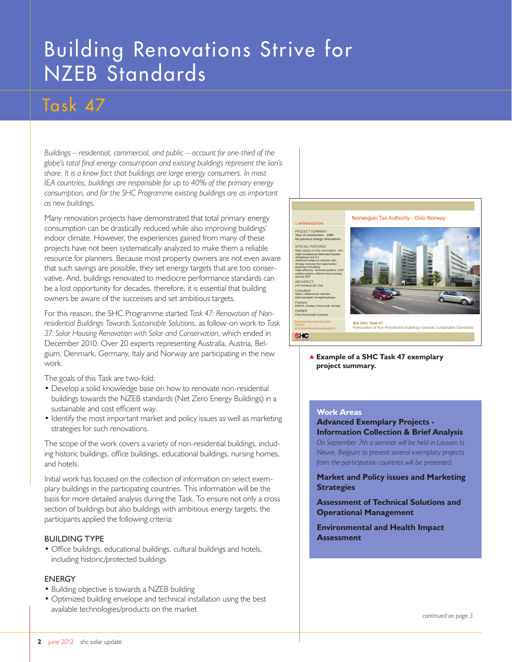# Building Renovations Strive for NZEB Standards

## Task 47

*Buildings – residential, commercial, and public – account for one-third of the globe's total final energy consumption and existing buildings represent the lion's share. It is a know fact that buildings are large energy consumers. In most IEA countries, buildings are responsible for up to 40% of the primary energy consumption, and for the SHC Programme existing buildings are as important as new buildings.* 

Many renovation projects have demonstrated that total primary energy consumption can be drastically reduced while also improving buildings' indoor climate. However, the experiences gained from many of these projects have not been systematically analyzed to make them a reliable resource for planners. Because most property owners are not even aware that such savings are possible, they set energy targets that are too conservative. And, buildings renovated to mediocre performance standards can be a lost opportunity for decades, therefore, it is essential that building owners be aware of the successes and set ambitious targets.

For this reason, the SHC Programme started *Task 47: Renovation of Nonresidential Buildings Towards Sustainable Solutions*, as follow-on work to *Task 37: Solar Housing Renovation with Solar and Conservation*, which ended in December 2010. Over 20 experts representing Australia, Austria, Belgium, Denmark, Germany, Italy and Norway are participating in the new work.

The goals of this Task are two-fold:

- Develop a solid knowledge base on how to renovate non-residential buildings towards the NZEB standards (Net Zero Energy Buildings) in a sustainable and cost efficient way.
- Identify the most important market and policy issues as well as marketing strategies for such renovations.

The scope of the work covers a variety of non-residential buildings, including historic buildings, office buildings, educational buildings, nursing homes, and hotels.

Initial work has focused on the collection of information on select exemplary buildings in the participating countries. This information will be the basis for more detailed analysis during the Task. To ensure not only a cross section of buildings but also buildings with ambitious energy targets, the participants applied the following criteria:

#### Building Type

• Office buildings, educational buildings, cultural buildings and hotels, including historic/protected buildings

#### **FNFRGY**

- Building objective is towards a NZEB building
- Optimized building envelope and technical installation using the best available technologies/products on the market



 **Example of a SHC Task 47 exemplary project summary.**

#### **Work Areas**

#### **Advanced Exemplary Projects - Information Collection & Brief Analysis** *On September 7th a seminar will be held in Louvain la Neuve, Belgium to present several exemplary projects*

*from the participation countries will be presented.*

**Market and Policy issues and Marketing Strategies** 

**Assessment of Technical Solutions and Operational Management**

**Environmental and Health Impact Assessment**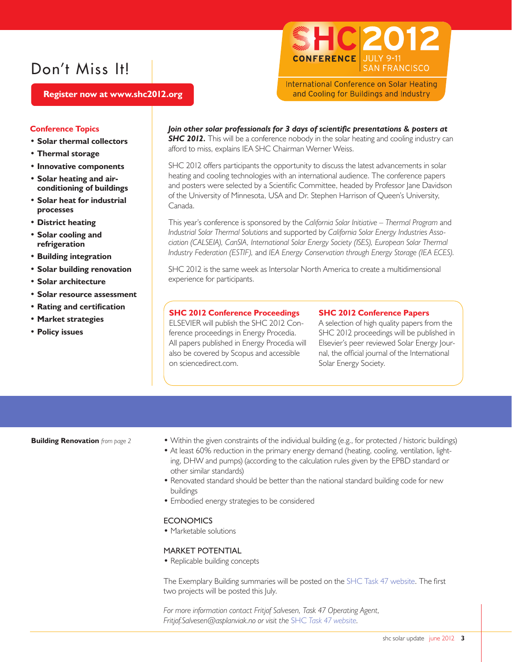## Don't Miss It!

C|201 **JULY 9-11** CONFERENCE **SAN FRANCISCO** 

**International Conference on Solar Heating** and Cooling for Buildings and Industry

 **Register now at www.shc2012.org**

#### **Conference Topics**

- **Solar thermal collectors**
- **Thermal storage**
- **Innovative components**
- **Solar heating and airconditioning of buildings**
- **Solar heat for industrial processes**
- **District heating**
- **Solar cooling and refrigeration**
- **Building integration**
- **Solar building renovation**
- **Solar architecture**
- **Solar resource assessment**
- **Rating and certification**
- **Market strategies**
- **Policy issues**

#### *Join other solar professionals for 3 days of scientific presentations & posters at*

**SHC 2012.** This will be a conference nobody in the solar heating and cooling industry can afford to miss, explains IEA SHC Chairman Werner Weiss.

SHC 2012 offers participants the opportunity to discuss the latest advancements in solar heating and cooling technologies with an international audience. The conference papers and posters were selected by a Scientific Committee, headed by Professor Jane Davidson of the University of Minnesota, USA and Dr. Stephen Harrison of Queen's University, Canada.

This year's conference is sponsored by the *California Solar Initiative – Thermal Program* and *Industrial Solar Thermal Solutions* and supported by *California Solar Energy Industries Association (CALSEIA), CanSIA, International Solar Energy Society (ISES), European Solar Thermal Industry Federation (ESTIF),* and *IEA Energy Conservation through Energy Storage (IEA ECES).*

SHC 2012 is the same week as Intersolar North America to create a multidimensional experience for participants.

#### **SHC 2012 Conference Proceedings**

ELSEVIER will publish the SHC 2012 Conference proceedings in Energy Procedia. All papers published in Energy Procedia will also be covered by Scopus and accessible on sciencedirect.com.

#### **SHC 2012 Conference Papers**

A selection of high quality papers from the SHC 2012 proceedings will be published in Elsevier's peer reviewed Solar Energy Journal, the official journal of the International Solar Energy Society.

**Building Renovation** *from page 2*

- Within the given constraints of the individual building (e.g., for protected / historic buildings)
- At least 60% reduction in the primary energy demand (heating, cooling, ventilation, lighting, DHW and pumps) (according to the calculation rules given by the EPBD standard or other similar standards)
- Renovated standard should be better than the national standard building code for new buildings
- Embodied energy strategies to be considered

#### **ECONOMICS**

• Marketable solutions

#### Market potential

• Replicable building concepts

The Exemplary Building summaries will be posted on the [SHC Task 47 website](http://iea-shc.org/task47). The first two projects will be posted this July.

For more information contact Fritjof Salvesen, Task 47 Operating Agent, *Fritjof.Salvesen@asplanviak.no or visit the* SHC *[Task 47 website](http://iea-shc.org/task47).*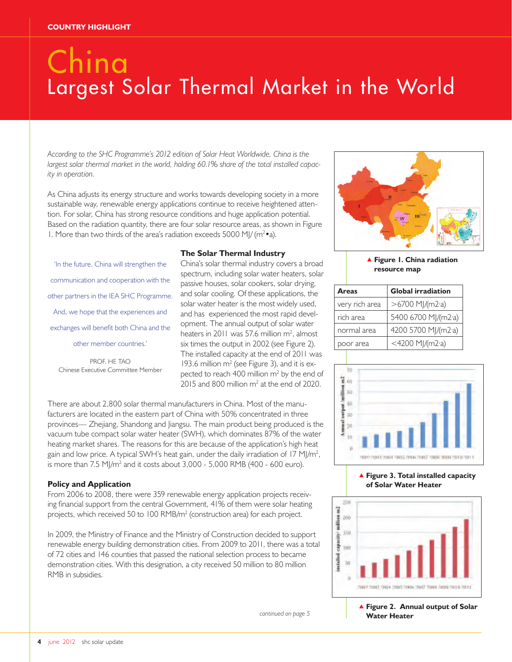# China Largest Solar Thermal Market in the World

*According to the SHC Programme's 2012 edition of Solar Heat Worldwide, China is the largest solar thermal market in the world, holding 60.1% share of the total installed capacity in operation.* 

As China adjusts its energy structure and works towards developing society in a more sustainable way, renewable energy applications continue to receive heightened attention. For solar, China has strong resource conditions and huge application potential. Based on the radiation quantity, there are four solar resource areas, as shown in Figure 1. More than two thirds of the area's radiation exceeds 5000 MJ/ ( $m^2 \cdot a$ ).

'In the future, China will strengthen the communication and cooperation with the other partners in the IEA SHC Programme. And, we hope that the experiences and exchanges will benefit both China and the other member countries.'

PROF. HE TAO Chinese Executive Committee Member

#### **The Solar Thermal Industry**

China's solar thermal industry covers a broad spectrum, including solar water heaters, solar passive houses, solar cookers, solar drying, and solar cooling. Of these applications, the solar water heater is the most widely used, and has experienced the most rapid development. The annual output of solar water heaters in 2011 was 57.6 million  $m^2$ , almost six times the output in 2002 (see Figure 2). The installed capacity at the end of 2011 was 193.6 million m<sup>2</sup> (see Figure 3), and it is expected to reach 400 million  $m^2$  by the end of  $2015$  and 800 million m<sup>2</sup> at the end of 2020.

There are about 2,800 solar thermal manufacturers in China. Most of the manufacturers are located in the eastern part of China with 50% concentrated in three provinces— Zhejiang, Shandong and Jiangsu. The main product being produced is the vacuum tube compact solar water heater (SWH), which dominates 87% of the water heating market shares. The reasons for this are because of the application's high heat gain and low price. A typical SWH's heat gain, under the daily irradiation of 17 MJ/m<sup>2</sup>, is more than  $7.5 \text{ MJ/m}^2$  and it costs about  $3,000$  -  $5,000 \text{ RMB}$  (400 - 600 euro).

#### **Policy and Application**

From 2006 to 2008, there were 359 renewable energy application projects receiving financial support from the central Government, 41% of them were solar heating projects, which received 50 to 100 RMB/m<sup>2</sup> (construction area) for each project.

In 2009, the Ministry of Finance and the Ministry of Construction decided to support renewable energy building demonstration cities. From 2009 to 2011, there was a total of 72 cities and 146 counties that passed the national selection process to became demonstration cities. With this designation, a city received 50 million to 80 million RMB in subsidies.

*continued on page 5*

 **Figure 1. China radiation resource map**

| <b>Areas</b>   | <b>Global irradiation</b> |  |
|----------------|---------------------------|--|
| very rich area | >6700 MJ/(m2·a)           |  |
| rich area      | 5400 6700 MJ/(m2·a)       |  |
| normal area    | 4200 5700 MJ/(m2·a)       |  |
| poor area      | <4200 MJ/(m2·a)           |  |



#### **Figure 3. Total installed capacity of Solar Water Heater**



**Figure 2. Annual output of Solar Water Heater**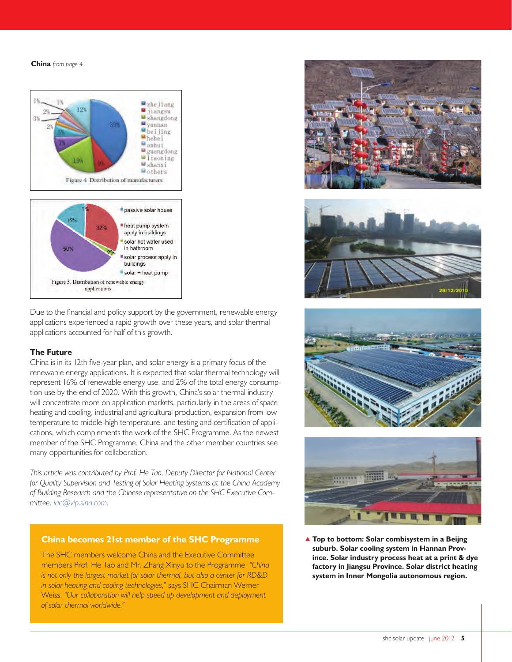**China** *from page 4*



Due to the financial and policy support by the government, renewable energy applications experienced a rapid growth over these years, and solar thermal applications accounted for half of this growth.

#### **The Future**

China is in its 12th five-year plan, and solar energy is a primary focus of the renewable energy applications. It is expected that solar thermal technology will represent 16% of renewable energy use, and 2% of the total energy consumption use by the end of 2020. With this growth, China's solar thermal industry will concentrate more on application markets, particularly in the areas of space heating and cooling, industrial and agricultural production, expansion from low temperature to middle-high temperature, and testing and certification of applications, which complements the work of the SHC Programme. As the newest member of the SHC Programme, China and the other member countries see many opportunities for collaboration.

*This article was contributed by Prof. He Tao, Deputy Director for National Center for Quality Supervision and Testing of Solar Heating Systems at the China Academy of Building Research and the Chinese representative on the SHC Executive Committee, iac@vip.sina.com.* 

#### **China becomes 21st member of the SHC Programme**

The SHC members welcome China and the Executive Committee members Prof. He Tao and Mr. Zhang Xinyu to the Programme. *"China is not only the largest market for solar thermal, but also a center for RD&D in solar heating and cooling technologies,*" says SHC Chairman Werner Weiss. *"Our collaboration will help speed up development and deployment of solar thermal worldwide."*









 **Top to bottom: Solar combisystem in a Beijng suburb. Solar cooling system in Hannan Province. Solar industry process heat at a print & dye factory in Jiangsu Province. Solar district heating system in Inner Mongolia autonomous region.**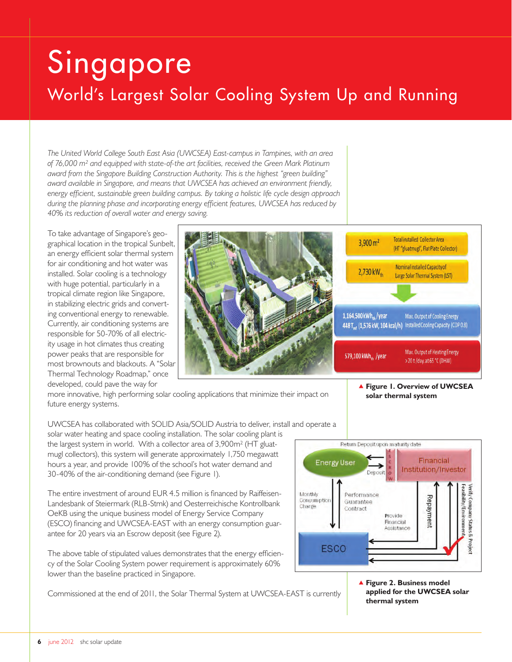# Singapore World's Largest Solar Cooling System Up and Running

*The United World College South East Asia (UWCSEA) East-campus in Tampines, with an area of 76,000 m² and equipped with state-of-the art facilities, received the Green Mark Platinum award from the Singapore Building Construction Authority. This is the highest "green building" award available in Singapore, and means that UWCSEA has achieved an environment friendly, energy efficient, sustainable green building campus. By taking a holistic life cycle design approach during the planning phase and incorporating energy efficient features, UWCSEA has reduced by 40% its reduction of overall water and energy saving.*

To take advantage of Singapore's geographical location in the tropical Sunbelt, an energy efficient solar thermal system for air conditioning and hot water was installed. Solar cooling is a technology with huge potential, particularly in a tropical climate region like Singapore, in stabilizing electric grids and converting conventional energy to renewable. Currently, air conditioning systems are responsible for 50-70% of all electricity usage in hot climates thus creating power peaks that are responsible for most brownouts and blackouts. A "Solar Thermal Technology Roadmap," once developed, could pave the way for



more innovative, high performing solar cooling applications that minimize their impact on future energy systems.

UWCSEA has collaborated with SOLID Asia/SOLID Austria to deliver, install and operate a

solar water heating and space cooling installation. The solar cooling plant is the largest system in world. With a collector area of 3,900m² (HT gluatmugl collectors), this system will generate approximately 1,750 megawatt hours a year, and provide 100% of the school's hot water demand and 30-40% of the air-conditioning demand (see Figure 1).

The entire investment of around EUR 4.5 million is financed by Raiffeisen-Landesbank of Steiermark (RLB-Stmk) and Oesterreichische Kontrollbank OeKB using the unique business model of Energy Service Company (ESCO) financing and UWCSEA-EAST with an energy consumption guarantee for 20 years via an Escrow deposit (see Figure 2).

The above table of stipulated values demonstrates that the energy efficiency of the Solar Cooling System power requirement is approximately 60% lower than the baseline practiced in Singapore.

Commissioned at the end of 2011, the Solar Thermal System at UWCSEA-EAST is currently

 **Figure 1. Overview of UWCSEA solar thermal system**



 **Figure 2. Business model applied for the UWCSEA solar thermal system**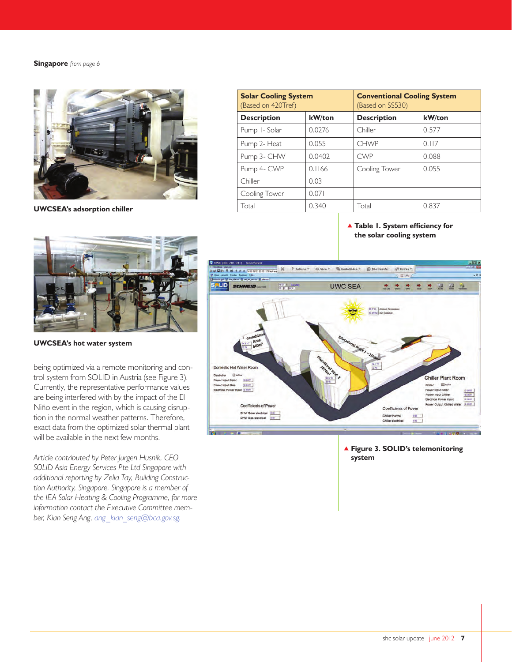#### **Singapore** *from page 6*



**UWCSEA's adsorption chiller**

| <b>Solar Cooling System</b><br>(Based on 420Tref) |        | <b>Conventional Cooling System</b><br>(Based on SS530) |        |
|---------------------------------------------------|--------|--------------------------------------------------------|--------|
| <b>Description</b>                                | kW/ton | <b>Description</b>                                     | kW/ton |
| Pump I-Solar                                      | 0.0276 | Chiller                                                | 0.577  |
| Pump 2- Heat                                      | 0.055  | <b>CHWP</b>                                            | 0.117  |
| Pump 3- CHW                                       | 0.0402 | <b>CWP</b>                                             | 0.088  |
| Pump 4- CWP                                       | 0.1166 | Cooling Tower                                          | 0.055  |
| Chiller                                           | 0.03   |                                                        |        |
| Cooling Tower                                     | 0.071  |                                                        |        |
| Total                                             | 0.340  | Total                                                  | 0.837  |

 **Table 1. System efficiency for the solar cooling system**



**UWCSEA's hot water system**

being optimized via a remote monitoring and control system from SOLID in Austria (see Figure 3). Currently, the representative performance values are being interfered with by the impact of the El Niño event in the region, which is causing disruption in the normal weather patterns. Therefore, exact data from the optimized solar thermal plant will be available in the next few months.

*Article contributed by Peter Jurgen Husnik, CEO SOLID Asia Energy Services Pte Ltd Singapore with additional reporting by Zelia Tay, Building Construction Authority, Singapore. Singapore is a member of the IEA Solar Heating & Cooling Programme, for more information contact the Executive Committee member, Kian Seng Ang, ang\_kian\_seng@bca.gov.sg.* 



 **Figure 3. SOLID's telemonitoring system**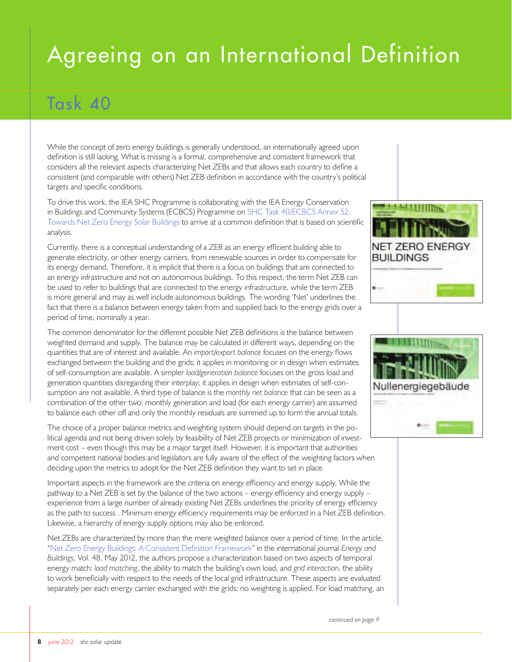# Agreeing on an International Definition

## Task 40

While the concept of zero energy buildings is generally understood, an internationally agreed upon definition is still lacking. What is missing is a formal, comprehensive and consistent framework that considers all the relevant aspects characterizing Net ZEBs and that allows each country to define a consistent (and comparable with others) Net ZEB definition in accordance with the country's political targets and specific conditions.

To drive this work, the IEA SHC Programme is collaborating with the IEA Energy Conservation in Buildings and Community Systems (ECBCS) Programme on SHC Task 40/ECBCS Annex 52: [Towards Net Zero Energy Solar Buildings](http://iea-shc.org/task40/) to arrive at a common definition that is based on scientific analysis.

Currently, there is a conceptual understanding of a ZEB as an energy efficient building able to generate electricity, or other energy carriers, from renewable sources in order to compensate for its energy demand. Therefore, it is implicit that there is a focus on buildings that are connected to an energy infrastructure and not on autonomous buildings. To this respect, the term Net ZEB can be used to refer to buildings that are connected to the energy infrastructure, while the term ZEB is more general and may as well include autonomous buildings. The wording 'Net' underlines the fact that there is a balance between energy taken from and supplied back to the energy grids over a period of time, nominally a year.

The common denominator for the different possible Net ZEB definitions is the balance between weighted demand and supply. The balance may be calculated in different ways, depending on the quantities that are of interest and available. An *import/export balance* focuses on the energy flows exchanged between the building and the grids; it applies in monitoring or in design when estimates of self-consumption are available. A simpler *load/generation balance* focuses on the gross load and generation quantities disregarding their interplay; it applies in design when estimates of self-consumption are not available. A third type of balance is the *monthly net balance* that can be seen as a combination of the other two; monthly generation and load (for each energy carrier) are assumed to balance each other off and only the monthly residuals are summed up to form the annual totals.

The choice of a proper balance metrics and weighting system should depend on targets in the political agenda and not being driven solely by feasibility of Net ZEB projects or minimization of investment cost – even though this may be a major target itself. However, it is important that authorities and competent national bodies and legislators are fully aware of the effect of the weighting factors when deciding upon the metrics to adopt for the Net ZEB definition they want to set in place.

Important aspects in the framework are the criteria on energy efficiency and energy supply. While the pathway to a Net ZEB is set by the balance of the two actions – energy efficiency and energy supply – experience from a large number of already existing Net ZEBs underlines the priority of energy efficiency as the path to success . Minimum energy efficiency requirements may be enforced in a Net ZEB definition. Likewise, a hierarchy of energy supply options may also be enforced.

Net ZEBs are characterized by more than the mere weighted balance over a period of time. In the article, ["Net Zero Energy Buildings: A Consistent Definition Framework](http://www.sciencedirect.com/science/article/pii/S0378778812000497%20)" in the international journal *Energy and Buildings*, Vol. 48, May 2012, the authors propose a characterization based on two aspects of temporal energy match: *load matching*, the ability to match the building's own load, and *grid interaction*, the ability to work beneficially with respect to the needs of the local grid infrastructure. These aspects are evaluated separately per each energy carrier exchanged with the grids; no weighting is applied. For load matching, an



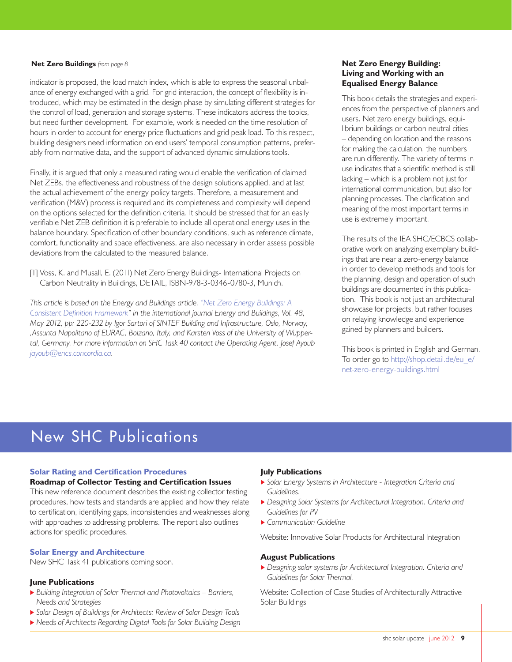indicator is proposed, the load match index, which is able to express the seasonal unbalance of energy exchanged with a grid. For grid interaction, the concept of flexibility is introduced, which may be estimated in the design phase by simulating different strategies for the control of load, generation and storage systems. These indicators address the topics, but need further development. For example, work is needed on the time resolution of hours in order to account for energy price fluctuations and grid peak load. To this respect, building designers need information on end users' temporal consumption patterns, preferably from normative data, and the support of advanced dynamic simulations tools.

Finally, it is argued that only a measured rating would enable the verification of claimed Net ZEBs, the effectiveness and robustness of the design solutions applied, and at last the actual achievement of the energy policy targets. Therefore, a measurement and verification (M&V) process is required and its completeness and complexity will depend on the options selected for the definition criteria. It should be stressed that for an easily verifiable Net ZEB definition it is preferable to include all operational energy uses in the balance boundary. Specification of other boundary conditions, such as reference climate, comfort, functionality and space effectiveness, are also necessary in order assess possible deviations from the calculated to the measured balance.

[1] Voss, K. and Musall, E. (2011) Net Zero Energy Buildings- International Projects on Carbon Neutrality in Buildings, DETAIL, ISBN-978-3-0346-0780-3, Munich.

*This article is based on the Energy and Buildings article, ["Net Zero Energy Buildings: A](http://www.sciencedirect.com/science/article/pii/S0378778812000497 )  [Consistent Definition Framework](http://www.sciencedirect.com/science/article/pii/S0378778812000497 )" in the international journal Energy and Buildings, Vol. 48, May 2012, pp: 220-232 by Igor Sartori of SINTEF Building and Infrastructure, Oslo, Norway, ,Assunta Napolitano of EURAC, Bolzano, Italy, and Karsten Voss of the University of Wuppertal, Germany. For more information on SHC Task 40 contact the Operating Agent, Josef Ayoub jayoub@encs.concordia.ca.* 

#### **Net Zero Buildings** *from page 8* **Net Zero Energy Building: Living and Working with an Equalised Energy Balance**

This book details the strategies and experiences from the perspective of planners and users. Net zero energy buildings, equilibrium buildings or carbon neutral cities – depending on location and the reasons for making the calculation, the numbers are run differently. The variety of terms in use indicates that a scientific method is still lacking – which is a problem not just for international communication, but also for planning processes. The clarification and meaning of the most important terms in use is extremely important.

The results of the IEA SHC/ECBCS collaborative work on analyzing exemplary buildings that are near a zero-energy balance in order to develop methods and tools for the planning, design and operation of such buildings are documented in this publication. This book is not just an architectural showcase for projects, but rather focuses on relaying knowledge and experience gained by planners and builders.

This book is printed in English and German. To order go to http://shop.detail.de/eu\_e/ net-zero-energy-buildings.html

## New SHC Publications

#### **[Solar Rating and Certification Procedures](http://www.iea-shc.org/task43/)**

#### **[Roadmap of Collector Testing and Certification Issues](http://iea-shc.org/publications/downloads/Roadmap_SubtaskA.pdf)**

This new reference document describes the existing collector testing procedures, how tests and standards are applied and how they relate to certification, identifying gaps, inconsistencies and weaknesses along with approaches to addressing problems. The report also outlines actions for specific procedures.

#### **[Solar Energy and Architecture](http://http://iea-shc.org/task41/)**

New SHC Task 41 publications coming soon.

#### **June Publications**

- *Building Integration of Solar Thermal and Photovoltaics Barriers, Needs and Strategies*
- *Solar Design of Buildings for Architects: Review of Solar Design Tools*
- *Needs of Architects Regarding Digital Tools for Solar Building Design*

#### **July Publications**

- *Solar Energy Systems in Architecture Integration Criteria and Guidelines.*
- *Designing Solar Systems for Architectural Integration. Criteria and Guidelines for PV*
- *Communication Guideline*

Website: Innovative Solar Products for Architectural Integration

#### **August Publications**

 *Designing solar systems for Architectural Integration. Criteria and Guidelines for Solar Thermal.* 

Website: Collection of Case Studies of Architecturally Attractive Solar Buildings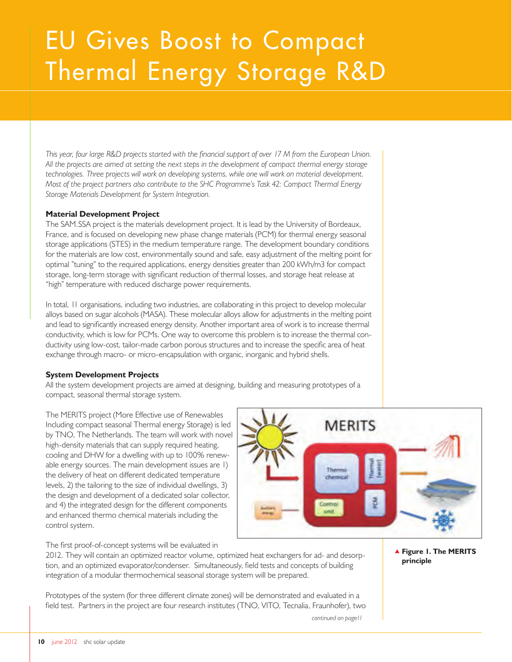# EU Gives Boost to Compact Thermal Energy Storage R&D

*This year, four large R&D projects started with the financial support of over 17 M from the European Union. All the projects are aimed at setting the next steps in the development of compact thermal energy storage technologies. Three projects will work on developing systems, while one will work on material development. Most of the project partners also contribute to the SHC Programme's Task 42: Compact Thermal Energy Storage Materials Development for System Integration.*

#### **Material Development Project**

The SAM.SSA project is the materials development project. It is lead by the University of Bordeaux, France, and is focused on developing new phase change materials (PCM) for thermal energy seasonal storage applications (STES) in the medium temperature range. The development boundary conditions for the materials are low cost, environmentally sound and safe, easy adjustment of the melting point for optimal "tuning" to the required applications, energy densities greater than 200 kWh/m3 for compact storage, long-term storage with significant reduction of thermal losses, and storage heat release at "high" temperature with reduced discharge power requirements.

In total, 11 organisations, including two industries, are collaborating in this project to develop molecular alloys based on sugar alcohols (MASA). These molecular alloys allow for adjustments in the melting point and lead to significantly increased energy density. Another important area of work is to increase thermal conductivity, which is low for PCMs. One way to overcome this problem is to increase the thermal conductivity using low-cost, tailor-made carbon porous structures and to increase the specific area of heat exchange through macro- or micro-encapsulation with organic, inorganic and hybrid shells.

#### **System Development Projects**

All the system development projects are aimed at designing, building and measuring prototypes of a compact, seasonal thermal storage system.

The MERITS project (More Effective use of Renewables Including compact seasonal Thermal energy Storage) is led by TNO, The Netherlands. The team will work with novel high-density materials that can supply required heating, cooling and DHW for a dwelling with up to 100% renewable energy sources. The main development issues are 1) the delivery of heat on different dedicated temperature levels, 2) the tailoring to the size of individual dwellings, 3) the design and development of a dedicated solar collector, and 4) the integrated design for the different components and enhanced thermo chemical materials including the control system.



*continued on page11*

The first proof-of-concept systems will be evaluated in

2012. They will contain an optimized reactor volume, optimized heat exchangers for ad- and desorption, and an optimized evaporator/condenser. Simultaneously, field tests and concepts of building integration of a modular thermochemical seasonal storage system will be prepared.

Prototypes of the system (for three different climate zones) will be demonstrated and evaluated in a field test. Partners in the project are four research institutes (TNO, VITO, Tecnalia, Fraunhofer), two  **Figure 1. The MERITS principle**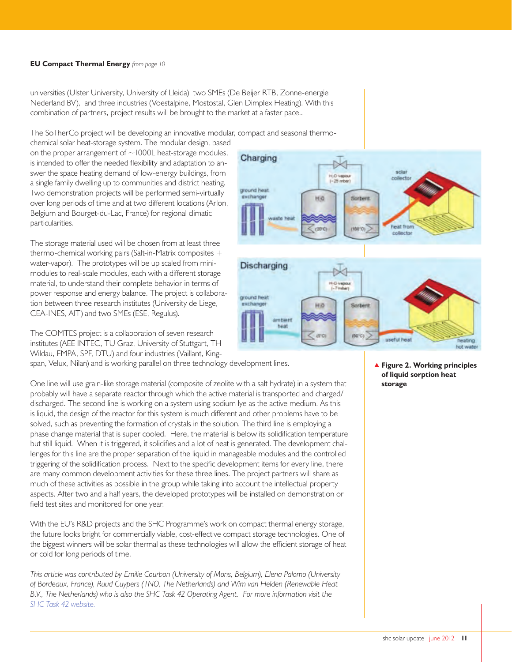#### **EU Compact Thermal Energy** *from page 10*

universities (Ulster University, University of Lleida) two SMEs (De Beijer RTB, Zonne-energie Nederland BV), and three industries (Voestalpine, Mostostal, Glen Dimplex Heating). With this combination of partners, project results will be brought to the market at a faster pace..

The SoTherCo project will be developing an innovative modular, compact and seasonal thermo-

chemical solar heat-storage system. The modular design, based on the proper arrangement of  $\sim$ 1000L heat-storage modules, is intended to offer the needed flexibility and adaptation to answer the space heating demand of low-energy buildings, from a single family dwelling up to communities and district heating. Two demonstration projects will be performed semi-virtually over long periods of time and at two different locations (Arlon, Belgium and Bourget-du-Lac, France) for regional climatic particularities.

The storage material used will be chosen from at least three thermo-chemical working pairs (Salt-in-Matrix composites + water-vapor). The prototypes will be up scaled from minimodules to real-scale modules, each with a different storage material, to understand their complete behavior in terms of power response and energy balance. The project is collaboration between three research institutes (University de Liege, CEA-INES, AIT) and two SMEs (ESE, Regulus).

The COMTES project is a collaboration of seven research institutes (AEE INTEC, TU Graz, University of Stuttgart, TH Wildau, EMPA, SPF, DTU) and four industries (Vaillant, King-

span, Velux, Nilan) and is working parallel on three technology development lines.

One line will use grain-like storage material (composite of zeolite with a salt hydrate) in a system that probably will have a separate reactor through which the active material is transported and charged/ discharged. The second line is working on a system using sodium lye as the active medium. As this is liquid, the design of the reactor for this system is much different and other problems have to be solved, such as preventing the formation of crystals in the solution. The third line is employing a phase change material that is super cooled. Here, the material is below its solidification temperature but still liquid. When it is triggered, it solidifies and a lot of heat is generated. The development challenges for this line are the proper separation of the liquid in manageable modules and the controlled triggering of the solidification process. Next to the specific development items for every line, there are many common development activities for these three lines. The project partners will share as much of these activities as possible in the group while taking into account the intellectual property aspects. After two and a half years, the developed prototypes will be installed on demonstration or field test sites and monitored for one year.

With the EU's R&D projects and the SHC Programme's work on compact thermal energy storage, the future looks bright for commercially viable, cost-effective compact storage technologies. One of the biggest winners will be solar thermal as these technologies will allow the efficient storage of heat or cold for long periods of time.

*This article was contributed by Emilie Courbon (University of Mons, Belgium), Elena Palomo (University of Bordeaux, France), Ruud Cuypers (TNO, The Netherlands) and Wim van Helden (Renewable Heat B.V., The Netherlands) who is also the SHC Task 42 Operating Agent. For more information visit the [SHC Task 42 website.](http://www.iea-shc.org/task42)*



 **Figure 2. Working principles of liquid sorption heat storage**